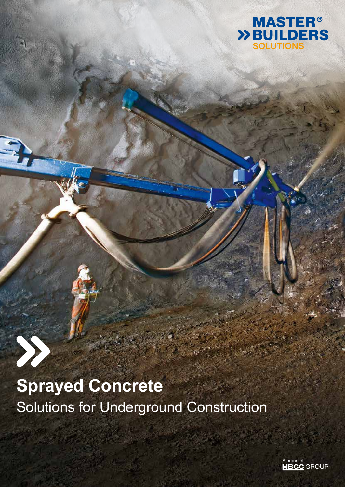

### **Sprayed Concrete** Solutions for Underground Construction

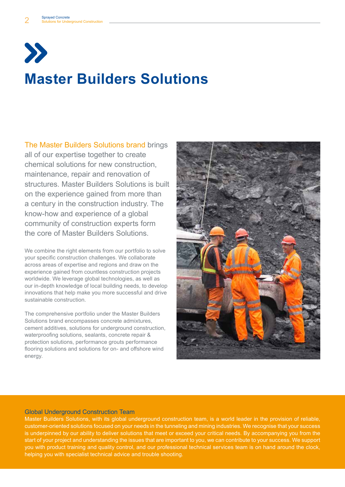

### **Master Builders Solutions**

The Master Builders Solutions brand brings all of our expertise together to create chemical solutions for new construction, maintenance, repair and renovation of structures. Master Builders Solutions is built on the experience gained from more than a century in the construction industry. The know-how and experience of a global community of construction experts form the core of Master Builders Solutions.

We combine the right elements from our portfolio to solve your specific construction challenges. We collaborate across areas of expertise and regions and draw on the experience gained from countless construction projects worldwide. We leverage global technologies, as well as our in-depth knowledge of local building needs, to develop innovations that help make you more successful and drive sustainable construction.

The comprehensive portfolio under the Master Builders Solutions brand encompasses concrete admixtures, cement additives, solutions for underground construction, waterproofing solutions, sealants, concrete repair & protection solutions, performance grouts performance flooring solutions and solutions for on- and offshore wind energy.



#### Global Underground Construction Team

Master Builders Solutions, with its global underground construction team, is a world leader in the provision of reliable, customer-oriented solutions focused on your needs in the tunneling and mining industries. We recognise that your success is underpinned by our ability to deliver solutions that meet or exceed your critical needs. By accompanying you from the start of your project and understanding the issues that are important to you, we can contribute to your success. We support you with product training and quality control, and our professional technical services team is on hand around the clock, helping you with specialist technical advice and trouble shooting.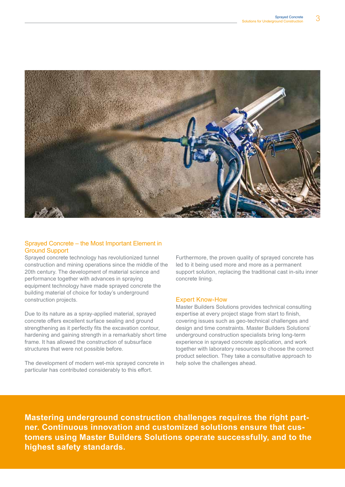

#### Sprayed Concrete – the Most Important Element in Ground Support

Sprayed concrete technology has revolutionized tunnel construction and mining operations since the middle of the 20th century. The development of material science and performance together with advances in spraying equipment technology have made sprayed concrete the building material of choice for today's underground construction projects.

Due to its nature as a spray-applied material, sprayed concrete offers excellent surface sealing and ground strengthening as it perfectly fits the excavation contour, hardening and gaining strength in a remarkably short time frame. It has allowed the construction of subsurface structures that were not possible before.

The development of modern wet-mix sprayed concrete in particular has contributed considerably to this effort.

Furthermore, the proven quality of sprayed concrete has led to it being used more and more as a permanent support solution, replacing the traditional cast in-situ inner concrete lining.

#### Expert Know-How

Master Builders Solutions provides technical consulting expertise at every project stage from start to finish, covering issues such as geo-technical challenges and design and time constraints. Master Builders Solutions' underground construction specialists bring long-term experience in sprayed concrete application, and work together with laboratory resources to choose the correct product selection. They take a consultative approach to help solve the challenges ahead.

**Mastering underground construction challenges requires the right partner. Continuous innovation and customized solutions ensure that customers using Master Builders Solutions operate successfully, and to the highest safety standards.**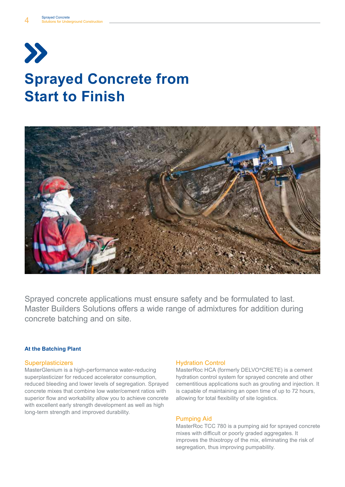# $\boldsymbol{\Sigma}$ **Sprayed Concrete from Start to Finish**



Sprayed concrete applications must ensure safety and be formulated to last. Master Builders Solutions offers a wide range of admixtures for addition during concrete batching and on site.

#### **At the Batching Plant**

#### **Superplasticizers**

MasterGlenium is a high-performance water-reducing superplasticizer for reduced accelerator consumption, reduced bleeding and lower levels of segregation. Sprayed concrete mixes that combine low water/cement ratios with superior flow and workability allow you to achieve concrete with excellent early strength development as well as high long-term strength and improved durability.

#### Hydration Control

MasterRoc HCA (formerly DELVO®CRETE) is a cement hydration control system for sprayed concrete and other cementitious applications such as grouting and injection. It is capable of maintaining an open time of up to 72 hours, allowing for total flexibility of site logistics.

#### Pumping Aid

MasterRoc TCC 780 is a pumping aid for sprayed concrete mixes with difficult or poorly graded aggregates. It improves the thixotropy of the mix, eliminating the risk of segregation, thus improving pumpability.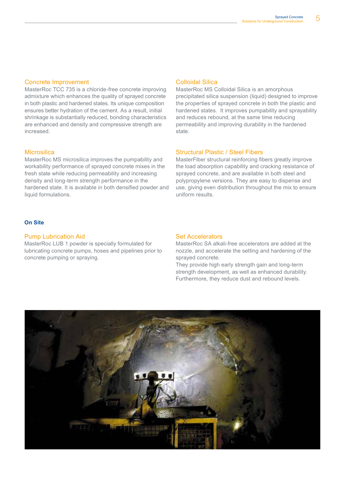#### Concrete Improvement

MasterRoc TCC 735 is a chloride-free concrete improving admixture which enhances the quality of sprayed concrete in both plastic and hardened states. Its unique composition ensures better hydration of the cement. As a result, initial shrinkage is substantially reduced, bonding characteristics are enhanced and density and compressive strength are increased.

#### **Microsilica**

MasterRoc MS microsilica improves the pumpability and workability performance of sprayed concrete mixes in the fresh state while reducing permeability and increasing density and long-term strength performance in the hardened state. It is available in both densified powder and liquid formulations.

#### Colloidal Silica

MasterRoc MS Colloidal Silica is an amorphous precipitated silica suspension (liquid) designed to improve the properties of sprayed concrete in both the plastic and hardened states. It improves pumpability and sprayability and reduces rebound, at the same time reducing permeability and improving durability in the hardened state.

#### Structural Plastic / Steel Fibers

MasterFiber structural reinforcing fibers greatly improve the load absorption capability and cracking resistance of sprayed concrete, and are available in both steel and polypropylene versions. They are easy to dispense and use, giving even distribution throughout the mix to ensure uniform results.

#### **On Site**

#### Pump Lubrication Aid

MasterRoc LUB 1 powder is specially formulated for lubricating concrete pumps, hoses and pipelines prior to concrete pumping or spraying.

#### Set Accelerators

MasterRoc SA alkali-free accelerators are added at the nozzle, and accelerate the setting and hardening of the sprayed concrete.

They provide high early strength gain and long-term strength development, as well as enhanced durability. Furthermore, they reduce dust and rebound levels.

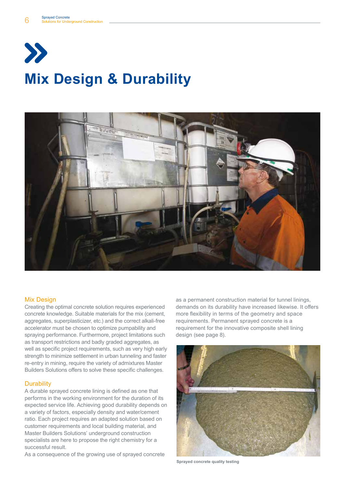



#### Mix Design

Creating the optimal concrete solution requires experienced concrete knowledge. Suitable materials for the mix (cement, aggregates, superplasticizer, etc.) and the correct alkali-free accelerator must be chosen to optimize pumpability and spraying performance. Furthermore, project limitations such as transport restrictions and badly graded aggregates, as well as specific project requirements, such as very high early strength to minimize settlement in urban tunneling and faster re-entry in mining, require the variety of admixtures Master Builders Solutions offers to solve these specific challenges.

#### **Durability**

A durable sprayed concrete lining is defined as one that performs in the working environment for the duration of its expected service life. Achieving good durability depends on a variety of factors, especially density and water/cement ratio. Each project requires an adapted solution based on customer requirements and local building material, and Master Builders Solutions' underground construction specialists are here to propose the right chemistry for a successful result.

As a consequence of the growing use of sprayed concrete

as a permanent construction material for tunnel linings, demands on its durability have increased likewise. It offers more flexibility in terms of the geometry and space requirements. Permanent sprayed concrete is a requirement for the innovative composite shell lining design (see page 8).



**Sprayed concrete quality testing**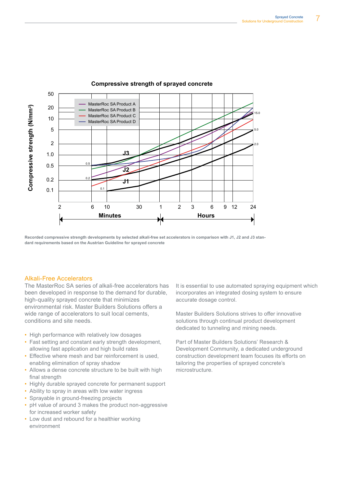

#### **Compressive strength of sprayed concrete**

**Recorded compressive strength developments by selected alkali-free set accelerators in comparison with J1, J2 and J3 standard requirements based on the Austrian Guideline for sprayed concrete**

#### Alkali-Free Accelerators

The MasterRoc SA series of alkali-free accelerators has been developed in response to the demand for durable, high-quality sprayed concrete that minimizes environmental risk. Master Builders Solutions offers a wide range of accelerators to suit local cements, conditions and site needs.

- High performance with relatively low dosages
- Fast setting and constant early strength development, allowing fast application and high build rates
- Effective where mesh and bar reinforcement is used, enabling elimination of spray shadow
- Allows a dense concrete structure to be built with high final strength
- Highly durable sprayed concrete for permanent support
- Ability to spray in areas with low water ingress
- Sprayable in ground-freezing projects
- pH value of around 3 makes the product non-aggressive for increased worker safety
- Low dust and rebound for a healthier working environment

It is essential to use automated spraying equipment which incorporates an integrated dosing system to ensure accurate dosage control.

Master Builders Solutions strives to offer innovative solutions through continual product development dedicated to tunneling and mining needs.

Part of Master Builders Solutions' Research & Development Community, a dedicated underground construction development team focuses its efforts on tailoring the properties of sprayed concrete's microstructure.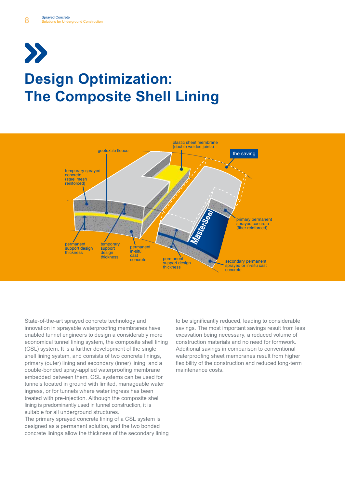# $\sum$ **Design Optimization: The Composite Shell Lining**



State-of-the-art sprayed concrete technology and innovation in sprayable waterproofing membranes have enabled tunnel engineers to design a considerably more economical tunnel lining system, the composite shell lining (CSL) system. It is a further development of the single shell lining system, and consists of two concrete linings, primary (outer) lining and secondary (inner) lining, and a double-bonded spray-applied waterproofing membrane embedded between them. CSL systems can be used for tunnels located in ground with limited, manageable water ingress, or for tunnels where water ingress has been treated with pre-injection. Although the composite shell lining is predominantly used in tunnel construction, it is suitable for all underground structures.

The primary sprayed concrete lining of a CSL system is designed as a permanent solution, and the two bonded concrete linings allow the thickness of the secondary lining

to be significantly reduced, leading to considerable savings. The most important savings result from less excavation being necessary, a reduced volume of construction materials and no need for formwork. Additional savings in comparison to conventional waterproofing sheet membranes result from higher flexibility of the construction and reduced long-term maintenance costs.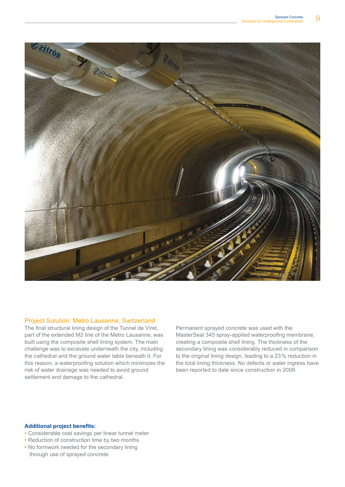

#### Project Solution: Metro Lausanne, Switzerland

The final structural lining design of the Tunnel de Viret, part of the extended M2 line of the Metro Lausanne, was built using the composite shell lining system. The main challenge was to excavate underneath the city, including the cathedral and the ground water table beneath it. For this reason, a waterproofing solution which minimizes the risk of water drainage was needed to avoid ground settlement and damage to the cathedral.

Permanent sprayed concrete was used with the MasterSeal 345 spray-applied waterproofing membrane, creating a composite shell lining. The thickness of the secondary lining was considerably reduced in comparison to the original lining design, leading to a 23% reduction in the total lining thickness. No defects or water ingress have been reported to date since construction in 2008.

#### **Additional project benefits:**

- **•** Considerable cost savings per linear tunnel meter
- **•** Reduction of construction time by two months
- **•** No formwork needed for the secondary lining through use of sprayed concrete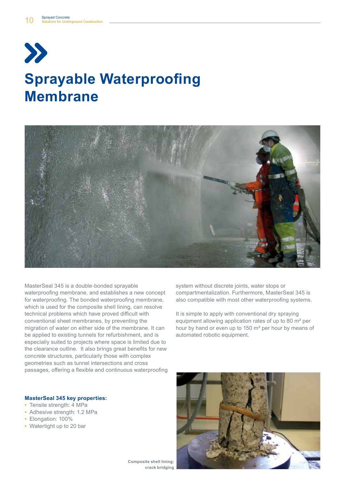



MasterSeal 345 is a double-bonded sprayable waterproofing membrane, and establishes a new concept for waterproofing. The bonded waterproofing membrane, which is used for the composite shell lining, can resolve technical problems which have proved difficult with conventional sheet membranes, by preventing the migration of water on either side of the membrane. It can be applied to existing tunnels for refurbishment, and is especially suited to projects where space is limited due to the clearance outline. It also brings great benefits for new concrete structures, particularly those with complex geometries such as tunnel intersections and cross passages, offering a flexible and continuous waterproofing

**MasterSeal 345 key properties:**

- Tensile strength: 4 MPa
- Adhesive strength: 1.2 MPa
- Elongation: 100%
- Watertight up to 20 bar

system without discrete joints, water stops or compartmentalization. Furthermore, MasterSeal 345 is also compatible with most other waterproofing systems.

It is simple to apply with conventional dry spraying equipment allowing application rates of up to 80 m² per hour by hand or even up to 150 m² per hour by means of automated robotic equipment.



**Composite shell lining: crack bridging**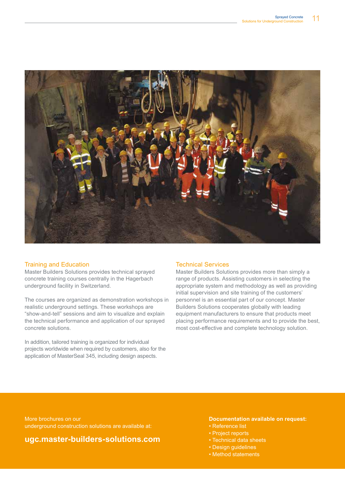

#### Training and Education

Master Builders Solutions provides technical sprayed concrete training courses centrally in the Hagerbach underground facility in Switzerland.

The courses are organized as demonstration workshops in realistic underground settings. These workshops are "show-and-tell" sessions and aim to visualize and explain the technical performance and application of our sprayed concrete solutions.

In addition, tailored training is organized for individual projects worldwide when required by customers, also for the application of MasterSeal 345, including design aspects.

#### Technical Services

Master Builders Solutions provides more than simply a range of products. Assisting customers in selecting the appropriate system and methodology as well as providing initial supervision and site training of the customers' personnel is an essential part of our concept. Master Builders Solutions cooperates globally with leading equipment manufacturers to ensure that products meet placing performance requirements and to provide the best, most cost-effective and complete technology solution.

More brochures on our underground construction solutions are available at:

### **ugc.master-builders-solutions.com**

#### **Documentation available on request:**

- Reference list
- Project reports
- Technical data sheets
- Design guidelines
- Method statements